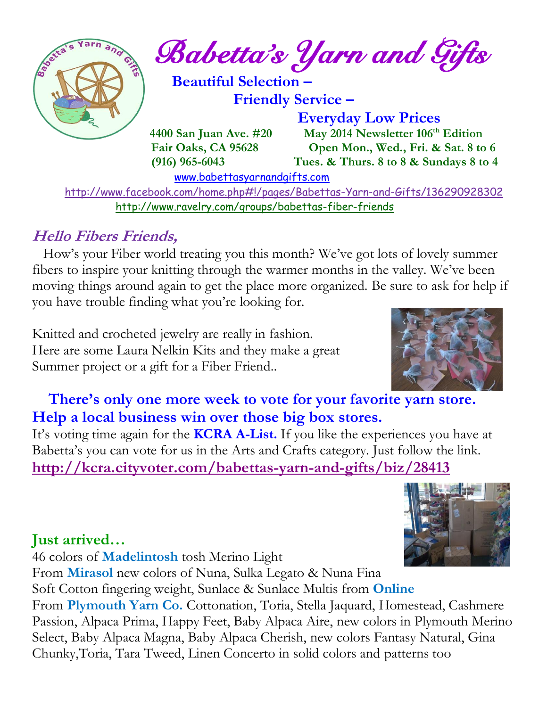

 <http://www.facebook.com/home.php#!/pages/Babettas-Yarn-and-Gifts/136290928302> <http://www.ravelry.com/groups/babettas-fiber-friends>

## **Hello Fibers Friends,**

How's your Fiber world treating you this month? We've got lots of lovely summer fibers to inspire your knitting through the warmer months in the valley. We've been moving things around again to get the place more organized. Be sure to ask for help if you have trouble finding what you're looking for.

Knitted and crocheted jewelry are really in fashion. Here are some Laura Nelkin Kits and they make a great Summer project or a gift for a Fiber Friend..



 **There's only one more week to vote for your favorite yarn store. Help a local business win over those big box stores.**

It's voting time again for the **KCRA A-List.** If you like the experiences you have at Babetta's you can vote for us in the Arts and Crafts category. Just follow the link. **<http://kcra.cityvoter.com/babettas-yarn-and-gifts/biz/28413>**

## **Just arrived…**

46 colors of **Madelintosh** tosh Merino Light

From **Mirasol** new colors of Nuna, Sulka Legato & Nuna Fina

Soft Cotton fingering weight, Sunlace & Sunlace Multis from **Online** From **Plymouth Yarn Co.** Cottonation, Toria, Stella Jaquard, Homestead, Cashmere Passion, Alpaca Prima, Happy Feet, Baby Alpaca Aire, new colors in Plymouth Merino Select, Baby Alpaca Magna, Baby Alpaca Cherish, new colors Fantasy Natural, Gina Chunky,Toria, Tara Tweed, Linen Concerto in solid colors and patterns too

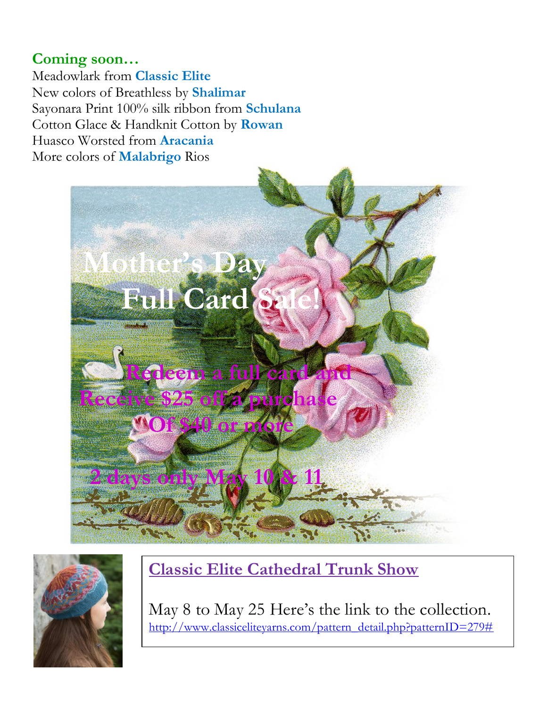### **Coming soon…**

Meadowlark from **Classic Elite** New colors of Breathless by **Shalimar** Sayonara Print 100% silk ribbon from **Schulana** Cotton Glace & Handknit Cotton by **Rowan** Huasco Worsted from **Aracania** More colors of **Malabrigo** Rios





**Classic Elite Cathedral Trunk Show**

May 8 to May 25 Here's the link to the collection. [http://www.classiceliteyarns.com/pattern\\_detail.php?patternID=279#](http://www.classiceliteyarns.com/pattern_detail.php?patternID=279)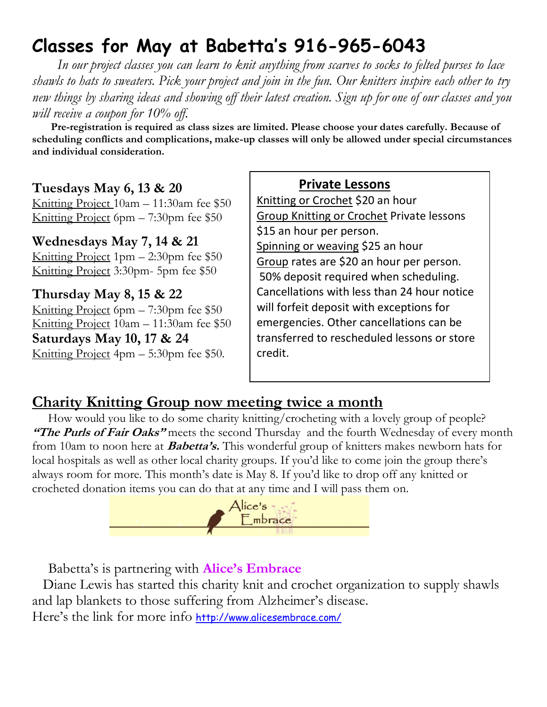# **Classes for May at Babetta's 916-965-6043**

 *In our project classes you can learn to knit anything from scarves to socks to felted purses to lace shawls to hats to sweaters. Pick your project and join in the fun. Our knitters inspire each other to try new things by sharing ideas and showing off their latest creation. Sign up for one of our classes and you will receive a coupon for 10% off.*

 **Pre-registration is required as class sizes are limited. Please choose your dates carefully. Because of scheduling conflicts and complications, make-up classes will only be allowed under special circumstances and individual consideration.**

#### **Tuesdays May 6, 13 & 20**

Knitting Project 10am – 11:30am fee \$50 Knitting Project 6pm – 7:30pm fee \$50

#### **Wednesdays May 7, 14 & 21**

Knitting Project 1pm – 2:30pm fee \$50 Knitting Project 3:30pm- 5pm fee \$50

**Thursday May 8, 15 & 22**

Knitting Project 6pm – 7:30pm fee \$50 Knitting Project 10am – 11:30am fee \$50 **Saturdays May 10, 17 & 24** Knitting Project 4pm – 5:30pm fee \$50.

#### **Private Lessons**

Knitting or Crochet \$20 an hour Group Knitting or Crochet Private lessons \$15 an hour per person. Spinning or weaving \$25 an hour Group rates are \$20 an hour per person. 50% deposit required when scheduling. Cancellations with less than 24 hour notice will forfeit deposit with exceptions for emergencies. Other cancellations can be transferred to rescheduled lessons or store credit.

### **Charity Knitting Group now meeting twice a month**

 How would you like to do some charity knitting/crocheting with a lovely group of people? **"The Purls of Fair Oaks"** meets the second Thursday and the fourth Wednesday of every month from 10am to noon here at **Babetta's.** This wonderful group of knitters makes newborn hats for local hospitals as well as other local charity groups. If you'd like to come join the group there's always room for more. This month's date is May 8. If you'd like to drop off any knitted or crocheted donation items you can do that at any time and I will pass them on.



Babetta's is partnering with **Alice's Embrace**

 Diane Lewis has started this charity knit and crochet organization to supply shawls and lap blankets to those suffering from Alzheimer's disease. Here's the link for more info <http://www.alicesembrace.com/>